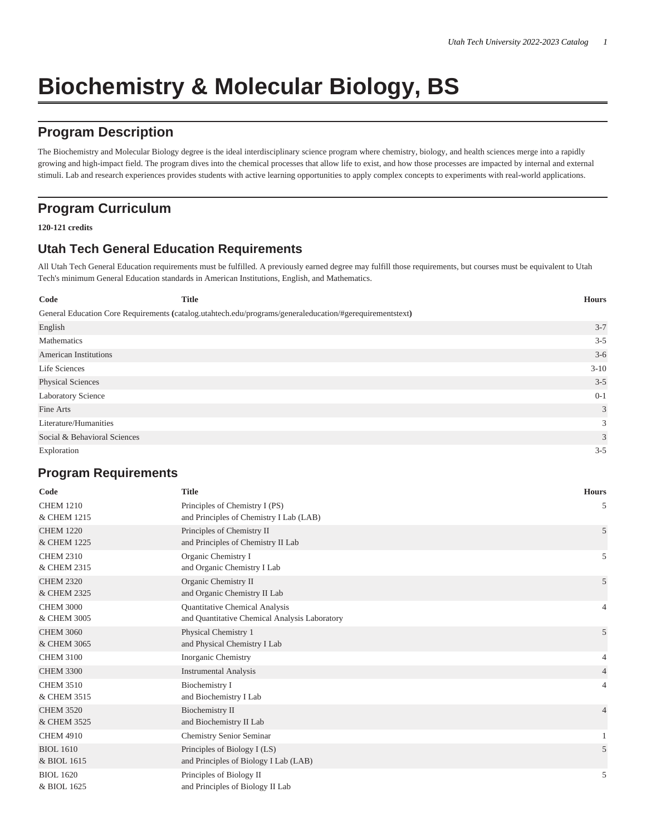# **Biochemistry & Molecular Biology, BS**

## **Program Description**

The Biochemistry and Molecular Biology degree is the ideal interdisciplinary science program where chemistry, biology, and health sciences merge into a rapidly growing and high-impact field. The program dives into the chemical processes that allow life to exist, and how those processes are impacted by internal and external stimuli. Lab and research experiences provides students with active learning opportunities to apply complex concepts to experiments with real-world applications.

### **Program Curriculum**

**120-121 credits**

#### **Utah Tech General Education Requirements**

All Utah Tech General Education requirements must be fulfilled. A previously earned degree may fulfill those requirements, but courses must be equivalent to Utah Tech's minimum General Education standards in American Institutions, English, and Mathematics.

| Code                         | <b>Title</b>                                                                                             | <b>Hours</b> |
|------------------------------|----------------------------------------------------------------------------------------------------------|--------------|
|                              | General Education Core Requirements (catalog.utahtech.edu/programs/generaleducation/#gerequirementstext) |              |
| English                      |                                                                                                          | $3 - 7$      |
| Mathematics                  |                                                                                                          | $3 - 5$      |
| <b>American Institutions</b> |                                                                                                          | $3-6$        |
| Life Sciences                |                                                                                                          | $3 - 10$     |
| <b>Physical Sciences</b>     |                                                                                                          | $3 - 5$      |
| <b>Laboratory Science</b>    |                                                                                                          | $0 - 1$      |
| Fine Arts                    |                                                                                                          | 3            |
| Literature/Humanities        |                                                                                                          | 3            |
| Social & Behavioral Sciences |                                                                                                          | 3            |
| Exploration                  |                                                                                                          | $3 - 5$      |

#### **Program Requirements**

| Code             | <b>Title</b>                                  | <b>Hours</b>   |
|------------------|-----------------------------------------------|----------------|
| <b>CHEM 1210</b> | Principles of Chemistry I (PS)                | 5              |
| & CHEM 1215      | and Principles of Chemistry I Lab (LAB)       |                |
| <b>CHEM 1220</b> | Principles of Chemistry II                    | 5              |
| & CHEM 1225      | and Principles of Chemistry II Lab            |                |
| <b>CHEM 2310</b> | Organic Chemistry I                           | 5              |
| & CHEM 2315      | and Organic Chemistry I Lab                   |                |
| <b>CHEM 2320</b> | Organic Chemistry II                          | 5              |
| & CHEM 2325      | and Organic Chemistry II Lab                  |                |
| <b>CHEM 3000</b> | Quantitative Chemical Analysis                | $\overline{4}$ |
| & CHEM 3005      | and Quantitative Chemical Analysis Laboratory |                |
| <b>CHEM 3060</b> | Physical Chemistry 1                          | 5              |
| & CHEM 3065      | and Physical Chemistry I Lab                  |                |
| <b>CHEM 3100</b> | Inorganic Chemistry                           | 4              |
| <b>CHEM 3300</b> | <b>Instrumental Analysis</b>                  | $\overline{4}$ |
| <b>CHEM 3510</b> | Biochemistry I                                | $\overline{4}$ |
| & CHEM 3515      | and Biochemistry I Lab                        |                |
| <b>CHEM 3520</b> | <b>Biochemistry II</b>                        | $\overline{4}$ |
| & CHEM 3525      | and Biochemistry II Lab                       |                |
| <b>CHEM 4910</b> | <b>Chemistry Senior Seminar</b>               | $\mathbf{1}$   |
| <b>BIOL 1610</b> | Principles of Biology I (LS)                  | 5              |
| & BIOL 1615      | and Principles of Biology I Lab (LAB)         |                |
| <b>BIOL 1620</b> | Principles of Biology II                      | 5              |
| & BIOL 1625      | and Principles of Biology II Lab              |                |